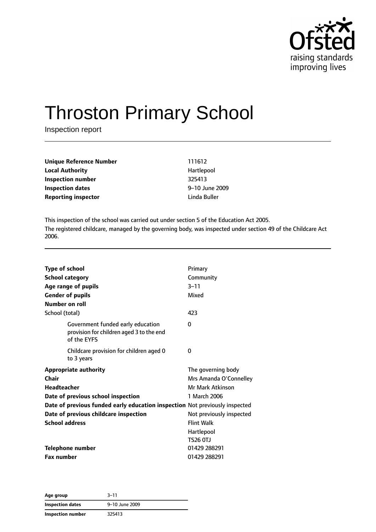

# Throston Primary School

Inspection report

| <b>Unique Reference Number</b> | 111612         |
|--------------------------------|----------------|
| <b>Local Authority</b>         | Hartlepool     |
| Inspection number              | 325413         |
| <b>Inspection dates</b>        | 9-10 June 2009 |
| <b>Reporting inspector</b>     | Linda Buller   |

This inspection of the school was carried out under section 5 of the Education Act 2005. The registered childcare, managed by the governing body, was inspected under section 49 of the Childcare Act 2006.

| <b>Type of school</b><br><b>School category</b><br>Age range of pupils<br><b>Gender of pupils</b><br>Number on roll |                                                                                              | Primary<br>Community<br>$3 - 11$<br>Mixed |
|---------------------------------------------------------------------------------------------------------------------|----------------------------------------------------------------------------------------------|-------------------------------------------|
| School (total)                                                                                                      |                                                                                              | 423                                       |
|                                                                                                                     | Government funded early education<br>provision for children aged 3 to the end<br>of the EYFS | 0                                         |
|                                                                                                                     | Childcare provision for children aged 0<br>to 3 years                                        | 0                                         |
|                                                                                                                     | <b>Appropriate authority</b>                                                                 | The governing body                        |
| Chair                                                                                                               |                                                                                              | Mrs Amanda O'Connelley                    |
| Headteacher                                                                                                         |                                                                                              | Mr Mark Atkinson                          |
|                                                                                                                     | Date of previous school inspection                                                           | 1 March 2006                              |
|                                                                                                                     | Date of previous funded early education inspection Not previously inspected                  |                                           |
|                                                                                                                     | Date of previous childcare inspection                                                        | Not previously inspected                  |
| <b>School address</b>                                                                                               |                                                                                              | <b>Flint Walk</b>                         |
|                                                                                                                     |                                                                                              | Hartlepool                                |
|                                                                                                                     |                                                                                              | <b>TS26 0TJ</b>                           |
| <b>Telephone number</b>                                                                                             |                                                                                              | 01429 288291                              |
| <b>Fax number</b>                                                                                                   |                                                                                              | 01429 288291                              |

**Age group** 3–11 **Inspection dates** 9–10 June 2009 **Inspection number** 325413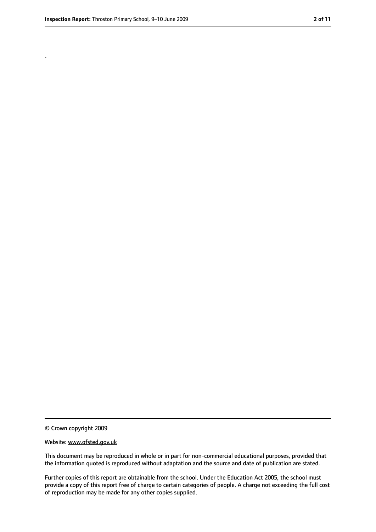.

<sup>©</sup> Crown copyright 2009

Website: www.ofsted.gov.uk

This document may be reproduced in whole or in part for non-commercial educational purposes, provided that the information quoted is reproduced without adaptation and the source and date of publication are stated.

Further copies of this report are obtainable from the school. Under the Education Act 2005, the school must provide a copy of this report free of charge to certain categories of people. A charge not exceeding the full cost of reproduction may be made for any other copies supplied.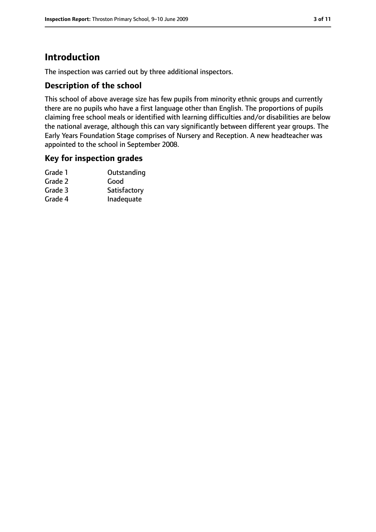# **Introduction**

The inspection was carried out by three additional inspectors.

### **Description of the school**

This school of above average size has few pupils from minority ethnic groups and currently there are no pupils who have a first language other than English. The proportions of pupils claiming free school meals or identified with learning difficulties and/or disabilities are below the national average, although this can vary significantly between different year groups. The Early Years Foundation Stage comprises of Nursery and Reception. A new headteacher was appointed to the school in September 2008.

#### **Key for inspection grades**

| Grade 1 | Outstanding  |
|---------|--------------|
| Grade 2 | Good         |
| Grade 3 | Satisfactory |
| Grade 4 | Inadequate   |
|         |              |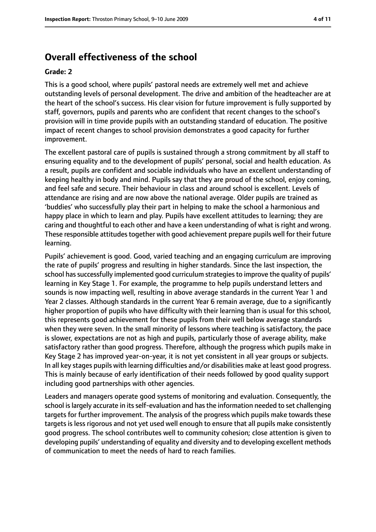# **Overall effectiveness of the school**

#### **Grade: 2**

This is a good school, where pupils' pastoral needs are extremely well met and achieve outstanding levels of personal development. The drive and ambition of the headteacher are at the heart of the school's success. His clear vision for future improvement is fully supported by staff, governors, pupils and parents who are confident that recent changes to the school's provision will in time provide pupils with an outstanding standard of education. The positive impact of recent changes to school provision demonstrates a good capacity for further improvement.

The excellent pastoral care of pupils is sustained through a strong commitment by all staff to ensuring equality and to the development of pupils' personal, social and health education. As a result, pupils are confident and sociable individuals who have an excellent understanding of keeping healthy in body and mind. Pupils say that they are proud of the school, enjoy coming, and feel safe and secure. Their behaviour in class and around school is excellent. Levels of attendance are rising and are now above the national average. Older pupils are trained as 'buddies' who successfully play their part in helping to make the school a harmonious and happy place in which to learn and play. Pupils have excellent attitudes to learning; they are caring and thoughtful to each other and have a keen understanding of what is right and wrong. These responsible attitudes together with good achievement prepare pupils well for their future learning.

Pupils' achievement is good. Good, varied teaching and an engaging curriculum are improving the rate of pupils' progress and resulting in higher standards. Since the last inspection, the school has successfully implemented good curriculum strategies to improve the quality of pupils' learning in Key Stage 1. For example, the programme to help pupils understand letters and sounds is now impacting well, resulting in above average standards in the current Year 1 and Year 2 classes. Although standards in the current Year 6 remain average, due to a significantly higher proportion of pupils who have difficulty with their learning than is usual for this school, this represents good achievement for these pupils from their well below average standards when they were seven. In the small minority of lessons where teaching is satisfactory, the pace is slower, expectations are not as high and pupils, particularly those of average ability, make satisfactory rather than good progress. Therefore, although the progress which pupils make in Key Stage 2 has improved year-on-year, it is not yet consistent in all year groups or subjects. In all key stages pupils with learning difficulties and/or disabilities make at least good progress. This is mainly because of early identification of their needs followed by good quality support including good partnerships with other agencies.

Leaders and managers operate good systems of monitoring and evaluation. Consequently, the school is largely accurate in its self-evaluation and has the information needed to set challenging targets for further improvement. The analysis of the progress which pupils make towards these targets is less rigorous and not yet used well enough to ensure that all pupils make consistently good progress. The school contributes well to community cohesion; close attention is given to developing pupils' understanding of equality and diversity and to developing excellent methods of communication to meet the needs of hard to reach families.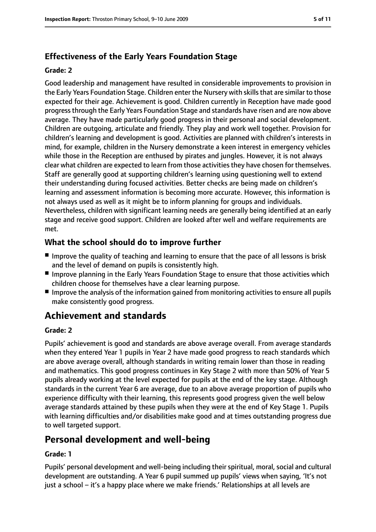# **Effectiveness of the Early Years Foundation Stage**

#### **Grade: 2**

Good leadership and management have resulted in considerable improvements to provision in the Early Years Foundation Stage. Children enter the Nursery with skills that are similar to those expected for their age. Achievement is good. Children currently in Reception have made good progressthrough the Early Years Foundation Stage and standards have risen and are now above average. They have made particularly good progress in their personal and social development. Children are outgoing, articulate and friendly. They play and work well together. Provision for children's learning and development is good. Activities are planned with children's interests in mind, for example, children in the Nursery demonstrate a keen interest in emergency vehicles while those in the Reception are enthused by pirates and jungles. However, it is not always clear what children are expected to learn from those activities they have chosen for themselves. Staff are generally good at supporting children's learning using questioning well to extend their understanding during focused activities. Better checks are being made on children's learning and assessment information is becoming more accurate. However, this information is not always used as well as it might be to inform planning for groups and individuals. Nevertheless, children with significant learning needs are generally being identified at an early stage and receive good support. Children are looked after well and welfare requirements are met.

## **What the school should do to improve further**

- Improve the quality of teaching and learning to ensure that the pace of all lessons is brisk and the level of demand on pupils is consistently high.
- Improve planning in the Early Years Foundation Stage to ensure that those activities which children choose for themselves have a clear learning purpose.
- Improve the analysis of the information gained from monitoring activities to ensure all pupils make consistently good progress.

# **Achievement and standards**

#### **Grade: 2**

Pupils' achievement is good and standards are above average overall. From average standards when they entered Year 1 pupils in Year 2 have made good progress to reach standards which are above average overall, although standards in writing remain lower than those in reading and mathematics. This good progress continues in Key Stage 2 with more than 50% of Year 5 pupils already working at the level expected for pupils at the end of the key stage. Although standards in the current Year 6 are average, due to an above average proportion of pupils who experience difficulty with their learning, this represents good progress given the well below average standards attained by these pupils when they were at the end of Key Stage 1. Pupils with learning difficulties and/or disabilities make good and at times outstanding progress due to well targeted support.

# **Personal development and well-being**

#### **Grade: 1**

Pupils' personal development and well-being including their spiritual, moral, social and cultural development are outstanding. A Year 6 pupil summed up pupils' views when saying, 'It's not just a school – it's a happy place where we make friends.' Relationships at all levels are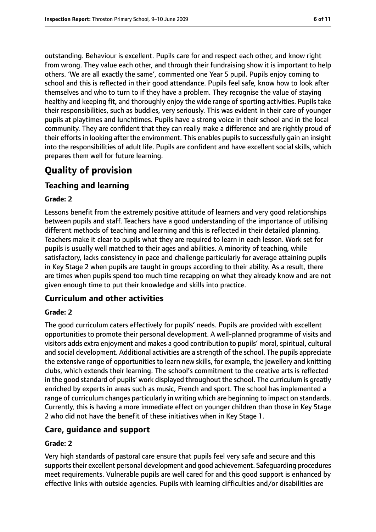outstanding. Behaviour is excellent. Pupils care for and respect each other, and know right from wrong. They value each other, and through their fundraising show it is important to help others. 'We are all exactly the same', commented one Year 5 pupil. Pupils enjoy coming to school and this is reflected in their good attendance. Pupils feel safe, know how to look after themselves and who to turn to if they have a problem. They recognise the value of staying healthy and keeping fit, and thoroughly enjoy the wide range of sporting activities. Pupils take their responsibilities, such as buddies, very seriously. This was evident in their care of younger pupils at playtimes and lunchtimes. Pupils have a strong voice in their school and in the local community. They are confident that they can really make a difference and are rightly proud of their efforts in looking after the environment. This enables pupils to successfully gain an insight into the responsibilities of adult life. Pupils are confident and have excellent social skills, which prepares them well for future learning.

# **Quality of provision**

## **Teaching and learning**

#### **Grade: 2**

Lessons benefit from the extremely positive attitude of learners and very good relationships between pupils and staff. Teachers have a good understanding of the importance of utilising different methods of teaching and learning and this is reflected in their detailed planning. Teachers make it clear to pupils what they are required to learn in each lesson. Work set for pupils is usually well matched to their ages and abilities. A minority of teaching, while satisfactory, lacks consistency in pace and challenge particularly for average attaining pupils in Key Stage 2 when pupils are taught in groups according to their ability. As a result, there are times when pupils spend too much time recapping on what they already know and are not given enough time to put their knowledge and skills into practice.

## **Curriculum and other activities**

#### **Grade: 2**

The good curriculum caters effectively for pupils' needs. Pupils are provided with excellent opportunities to promote their personal development. A well-planned programme of visits and visitors adds extra enjoyment and makes a good contribution to pupils' moral, spiritual, cultural and social development. Additional activities are a strength of the school. The pupils appreciate the extensive range of opportunities to learn new skills, for example, the jewellery and knitting clubs, which extends their learning. The school's commitment to the creative arts is reflected in the good standard of pupils' work displayed throughout the school. The curriculum is greatly enriched by experts in areas such as music, French and sport. The school has implemented a range of curriculum changes particularly in writing which are beginning to impact on standards. Currently, this is having a more immediate effect on younger children than those in Key Stage 2 who did not have the benefit of these initiatives when in Key Stage 1.

#### **Care, guidance and support**

#### **Grade: 2**

Very high standards of pastoral care ensure that pupils feel very safe and secure and this supports their excellent personal development and good achievement. Safeguarding procedures meet requirements. Vulnerable pupils are well cared for and this good support is enhanced by effective links with outside agencies. Pupils with learning difficulties and/or disabilities are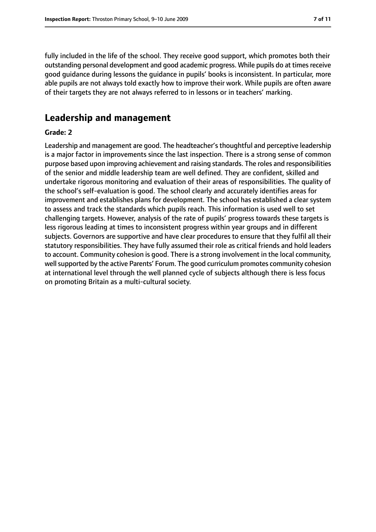fully included in the life of the school. They receive good support, which promotes both their outstanding personal development and good academic progress. While pupils do at times receive good guidance during lessons the guidance in pupils' books is inconsistent. In particular, more able pupils are not always told exactly how to improve their work. While pupils are often aware of their targets they are not always referred to in lessons or in teachers' marking.

# **Leadership and management**

#### **Grade: 2**

Leadership and management are good. The headteacher'sthoughtful and perceptive leadership is a major factor in improvements since the last inspection. There is a strong sense of common purpose based upon improving achievement and raising standards. The roles and responsibilities of the senior and middle leadership team are well defined. They are confident, skilled and undertake rigorous monitoring and evaluation of their areas of responsibilities. The quality of the school's self-evaluation is good. The school clearly and accurately identifies areas for improvement and establishes plans for development. The school has established a clear system to assess and track the standards which pupils reach. This information is used well to set challenging targets. However, analysis of the rate of pupils' progress towards these targets is less rigorous leading at times to inconsistent progress within year groups and in different subjects. Governors are supportive and have clear procedures to ensure that they fulfil all their statutory responsibilities. They have fully assumed their role as critical friends and hold leaders to account. Community cohesion is good. There is a strong involvement in the local community, well supported by the active Parents' Forum. The good curriculum promotes community cohesion at international level through the well planned cycle of subjects although there is less focus on promoting Britain as a multi-cultural society.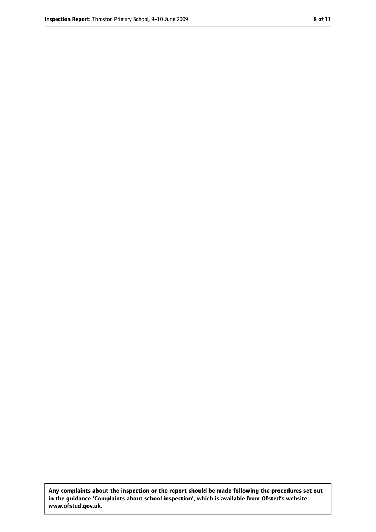**Any complaints about the inspection or the report should be made following the procedures set out in the guidance 'Complaints about school inspection', which is available from Ofsted's website: www.ofsted.gov.uk.**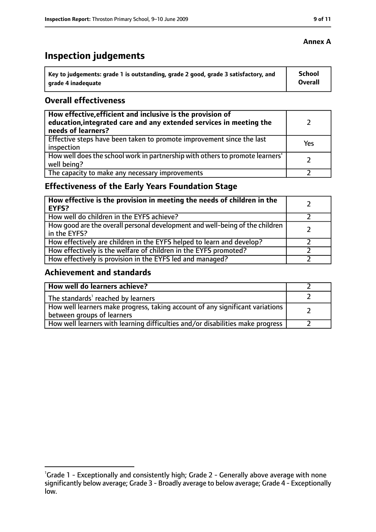# **Inspection judgements**

| key to judgements: grade 1 is outstanding, grade 2 good, grade 3 satisfactory, and ا | School         |
|--------------------------------------------------------------------------------------|----------------|
| arade 4 inadequate                                                                   | <b>Overall</b> |

### **Overall effectiveness**

| How effective, efficient and inclusive is the provision of<br>education, integrated care and any extended services in meeting the<br>needs of learners? |     |
|---------------------------------------------------------------------------------------------------------------------------------------------------------|-----|
| Effective steps have been taken to promote improvement since the last<br>inspection                                                                     | Yes |
| How well does the school work in partnership with others to promote learners'<br>well being?                                                            |     |
| The capacity to make any necessary improvements                                                                                                         |     |

# **Effectiveness of the Early Years Foundation Stage**

| How effective is the provision in meeting the needs of children in the<br>l EYFS?            |  |
|----------------------------------------------------------------------------------------------|--|
| How well do children in the EYFS achieve?                                                    |  |
| How good are the overall personal development and well-being of the children<br>in the EYFS? |  |
| How effectively are children in the EYFS helped to learn and develop?                        |  |
| How effectively is the welfare of children in the EYFS promoted?                             |  |
| How effectively is provision in the EYFS led and managed?                                    |  |

#### **Achievement and standards**

| How well do learners achieve?                                                                                 |  |
|---------------------------------------------------------------------------------------------------------------|--|
| The standards <sup>1</sup> reached by learners                                                                |  |
| How well learners make progress, taking account of any significant variations  <br>between groups of learners |  |
| How well learners with learning difficulties and/or disabilities make progress                                |  |

## **Annex A**

<sup>&</sup>lt;sup>1</sup>Grade 1 - Exceptionally and consistently high; Grade 2 - Generally above average with none significantly below average; Grade 3 - Broadly average to below average; Grade 4 - Exceptionally low.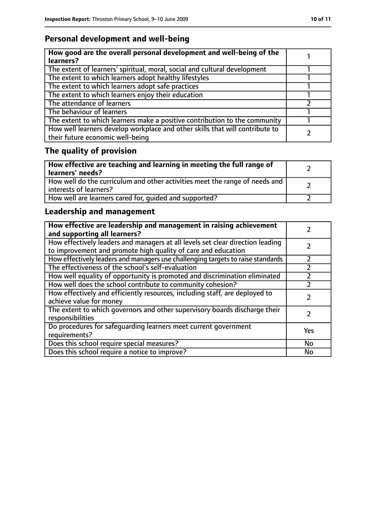# **Personal development and well-being**

| How good are the overall personal development and well-being of the<br>learners?                                 |  |
|------------------------------------------------------------------------------------------------------------------|--|
| The extent of learners' spiritual, moral, social and cultural development                                        |  |
| The extent to which learners adopt healthy lifestyles                                                            |  |
| The extent to which learners adopt safe practices                                                                |  |
| The extent to which learners enjoy their education                                                               |  |
| The attendance of learners                                                                                       |  |
| The behaviour of learners                                                                                        |  |
| The extent to which learners make a positive contribution to the community                                       |  |
| How well learners develop workplace and other skills that will contribute to<br>their future economic well-being |  |

# **The quality of provision**

| How effective are teaching and learning in meeting the full range of<br>learners' needs?              |  |
|-------------------------------------------------------------------------------------------------------|--|
| How well do the curriculum and other activities meet the range of needs and<br>interests of learners? |  |
| How well are learners cared for, quided and supported?                                                |  |

# **Leadership and management**

| How effective are leadership and management in raising achievement<br>and supporting all learners?                                              |     |
|-------------------------------------------------------------------------------------------------------------------------------------------------|-----|
| How effectively leaders and managers at all levels set clear direction leading<br>to improvement and promote high quality of care and education |     |
| How effectively leaders and managers use challenging targets to raise standards                                                                 |     |
| The effectiveness of the school's self-evaluation                                                                                               |     |
| How well equality of opportunity is promoted and discrimination eliminated                                                                      |     |
| How well does the school contribute to community cohesion?                                                                                      |     |
| How effectively and efficiently resources, including staff, are deployed to<br>achieve value for money                                          |     |
| The extent to which governors and other supervisory boards discharge their<br>responsibilities                                                  |     |
| Do procedures for safequarding learners meet current government<br>requirements?                                                                | Yes |
| Does this school require special measures?                                                                                                      | No  |
| Does this school require a notice to improve?                                                                                                   | No  |